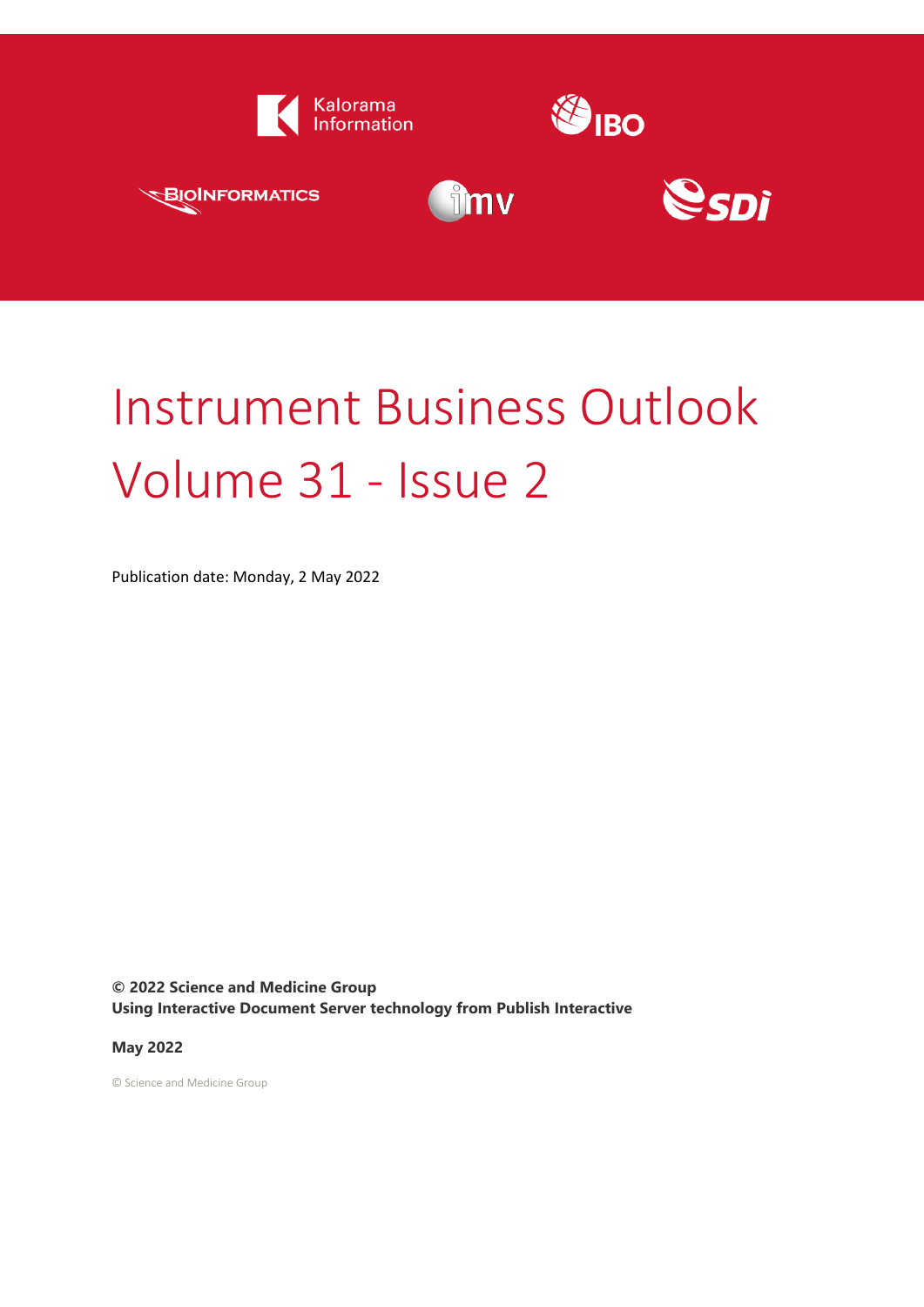

# Instrument Business Outlook Volume 31 - Issue 2

Publication date: Monday, 2 May 2022

**© 2022 Science and Medicine Group Using Interactive Document Server technology from Publish Interactive**

**May 2022**

© Science and Medicine Group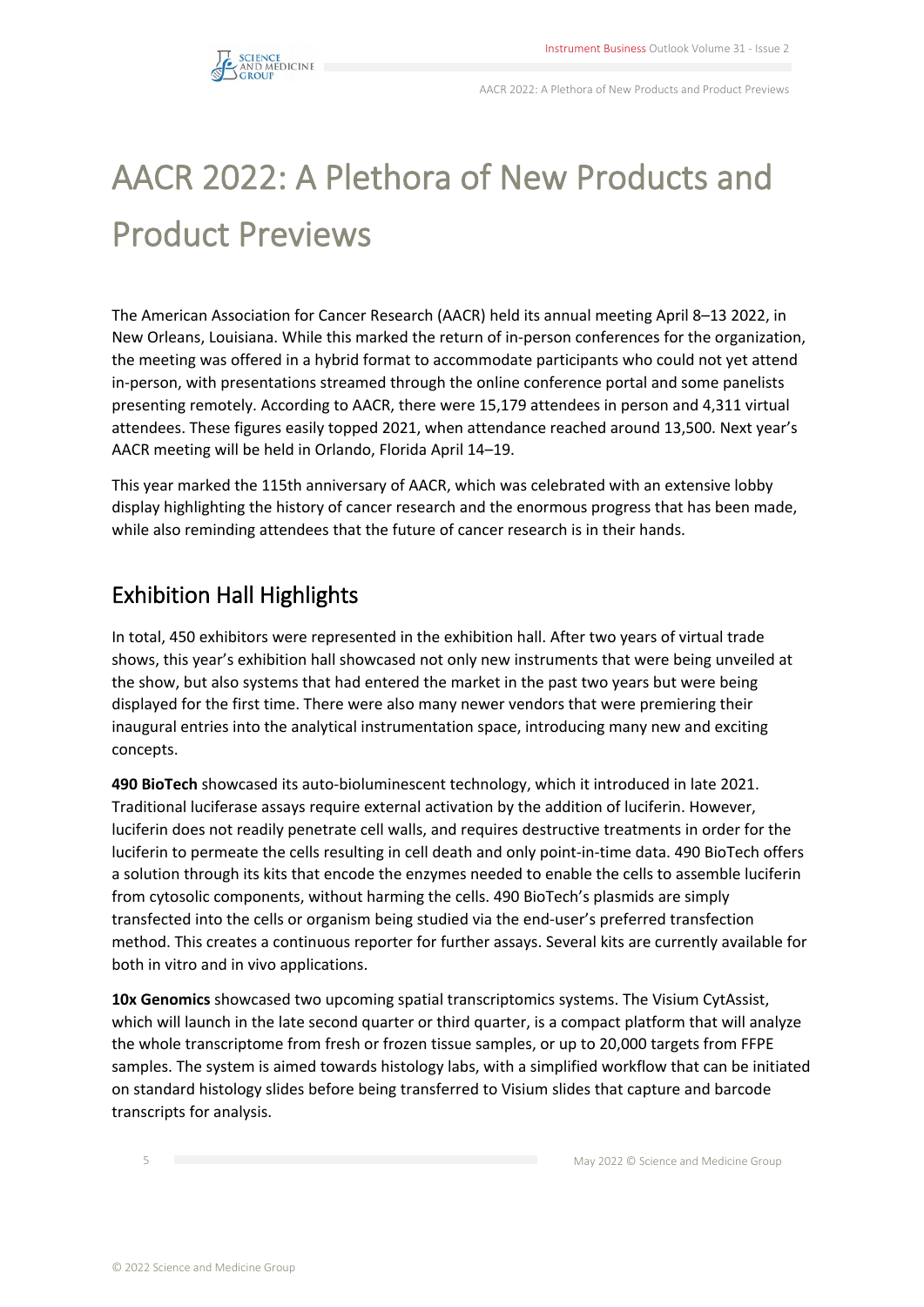

# **AACR 2022: A Plethora of New Products and Product Previews**

The American Association for Cancer Research (AACR) held its annual meeting April 8–13 2022, in New Orleans, Louisiana. While this marked the return of in-person conferences for the organization, the meeting was offered in a hybrid format to accommodate participants who could not yet attend in-person, with presentations streamed through the online conference portal and some panelists presenting remotely. According to AACR, there were 15,179 attendees in person and 4,311 virtual attendees. These figures easily topped 2021, when attendance reached around 13,500. Next year's AACR meeting will be held in Orlando, Florida April 14–19.

This year marked the 115th anniversary of AACR, which was celebrated with an extensive lobby display highlighting the history of cancer research and the enormous progress that has been made, while also reminding attendees that the future of cancer research is in their hands.

# **Exhibition Hall Highlights**

In total, 450 exhibitors were represented in the exhibition hall. After two years of virtual trade shows, this year's exhibition hall showcased not only new instruments that were being unveiled at the show, but also systems that had entered the market in the past two years but were being displayed for the first time. There were also many newer vendors that were premiering their inaugural entries into the analytical instrumentation space, introducing many new and exciting concepts.

**490 BioTech** showcased its auto-bioluminescent technology, which it introduced in late 2021. Traditional luciferase assays require external activation by the addition of luciferin. However, luciferin does not readily penetrate cell walls, and requires destructive treatments in order for the luciferin to permeate the cells resulting in cell death and only point-in-time data. 490 BioTech offers a solution through its kits that encode the enzymes needed to enable the cells to assemble luciferin from cytosolic components, without harming the cells. 490 BioTech's plasmids are simply transfected into the cells or organism being studied via the end-user's preferred transfection method. This creates a continuous reporter for further assays. Several kits are currently available for both in vitro and in vivo applications.

**10x Genomics** showcased two upcoming spatial transcriptomics systems. The Visium CytAssist, which will launch in the late second quarter or third quarter, is a compact platform that will analyze the whole transcriptome from fresh or frozen tissue samples, or up to 20,000 targets from FFPE samples. The system is aimed towards histology labs, with a simplified workflow that can be initiated on standard histology slides before being transferred to Visium slides that capture and barcode transcripts for analysis.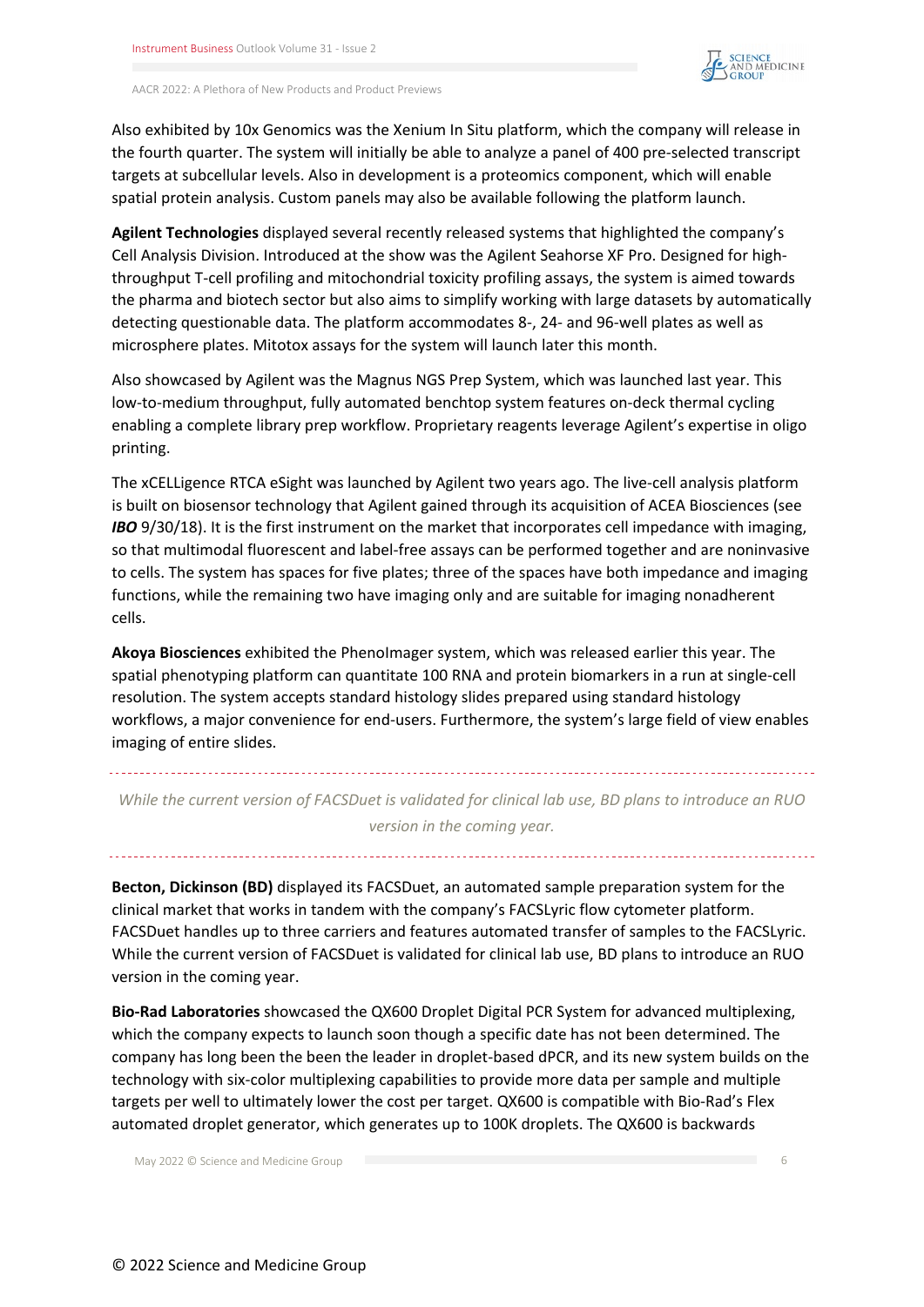

Also exhibited by 10x Genomics was the Xenium In Situ platform, which the company will release in the fourth quarter. The system will initially be able to analyze a panel of 400 pre-selected transcript targets at subcellular levels. Also in development is a proteomics component, which will enable spatial protein analysis. Custom panels may also be available following the platform launch.

**Agilent Technologies** displayed several recently released systems that highlighted the company's Cell Analysis Division. Introduced at the show was the Agilent Seahorse XF Pro. Designed for highthroughput T-cell profiling and mitochondrial toxicity profiling assays, the system is aimed towards the pharma and biotech sector but also aims to simplify working with large datasets by automatically detecting questionable data. The platform accommodates 8-, 24- and 96-well plates as well as microsphere plates. Mitotox assays for the system will launch later this month.

Also showcased by Agilent was the Magnus NGS Prep System, which was launched last year. This low-to-medium throughput, fully automated benchtop system features on-deck thermal cycling enabling a complete library prep workflow. Proprietary reagents leverage Agilent's expertise in oligo printing.

The xCELLigence RTCA eSight was launched by Agilent two years ago. The live-cell analysis platform is built on biosensor technology that Agilent gained through its acquisition of ACEA Biosciences (see *IBO* 9/30/18). It is the first instrument on the market that incorporates cell impedance with imaging, so that multimodal fluorescent and label-free assays can be performed together and are noninvasive to cells. The system has spaces for five plates; three of the spaces have both impedance and imaging functions, while the remaining two have imaging only and are suitable for imaging nonadherent cells.

**Akoya Biosciences** exhibited the PhenoImager system, which was released earlier this year. The spatial phenotyping platform can quantitate 100 RNA and protein biomarkers in a run at single-cell resolution. The system accepts standard histology slides prepared using standard histology workflows, a major convenience for end-users. Furthermore, the system's large field of view enables imaging of entire slides.

*While the current version of FACSDuet is validated for clinical lab use, BD plans to introduce an RUO version in the coming year.*

**Becton, Dickinson (BD)** displayed its FACSDuet, an automated sample preparation system for the clinical market that works in tandem with the company's FACSLyric flow cytometer platform. FACSDuet handles up to three carriers and features automated transfer of samples to the FACSLyric. While the current version of FACSDuet is validated for clinical lab use, BD plans to introduce an RUO version in the coming year.

**Bio-Rad Laboratories** showcased the QX600 Droplet Digital PCR System for advanced multiplexing, which the company expects to launch soon though a specific date has not been determined. The company has long been the been the leader in droplet-based dPCR, and its new system builds on the technology with six-color multiplexing capabilities to provide more data per sample and multiple targets per well to ultimately lower the cost per target. QX600 is compatible with Bio-Rad's Flex automated droplet generator, which generates up to 100K droplets. The QX600 is backwards

May 2022 © Science and Medicine Group 6 and 2022 C Science and Medicine Group 6 and 2022 C Science and Medicine Group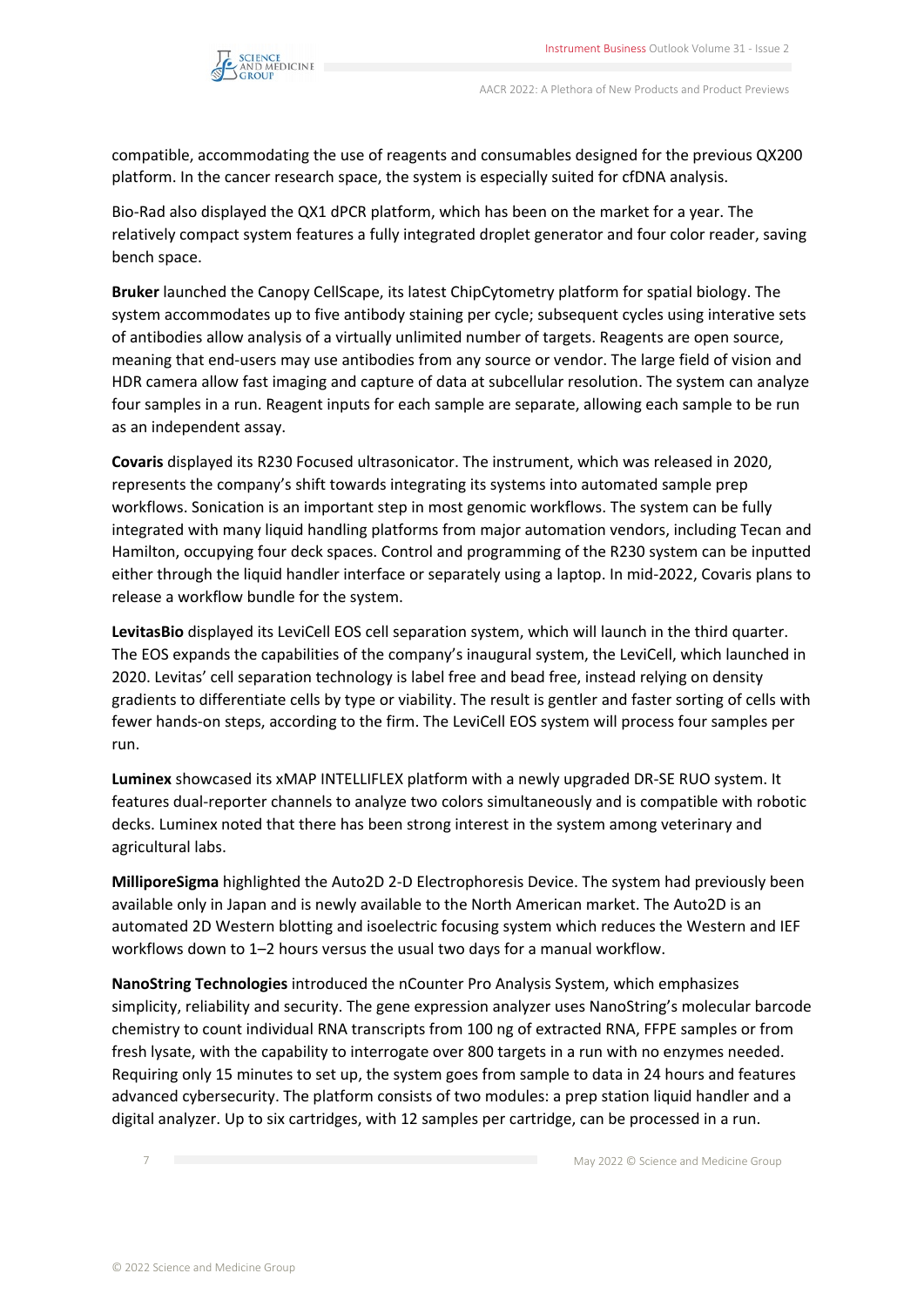

compatible, accommodating the use of reagents and consumables designed for the previous QX200 platform. In the cancer research space, the system is especially suited for cfDNA analysis.

Bio-Rad also displayed the QX1 dPCR platform, which has been on the market for a year. The relatively compact system features a fully integrated droplet generator and four color reader, saving bench space.

**Bruker** launched the Canopy CellScape, its latest ChipCytometry platform for spatial biology. The system accommodates up to five antibody staining per cycle; subsequent cycles using interative sets of antibodies allow analysis of a virtually unlimited number of targets. Reagents are open source, meaning that end-users may use antibodies from any source or vendor. The large field of vision and HDR camera allow fast imaging and capture of data at subcellular resolution. The system can analyze four samples in a run. Reagent inputs for each sample are separate, allowing each sample to be run as an independent assay.

**Covaris** displayed its R230 Focused ultrasonicator. The instrument, which was released in 2020, represents the company's shift towards integrating its systems into automated sample prep workflows. Sonication is an important step in most genomic workflows. The system can be fully integrated with many liquid handling platforms from major automation vendors, including Tecan and Hamilton, occupying four deck spaces. Control and programming of the R230 system can be inputted either through the liquid handler interface or separately using a laptop. In mid-2022, Covaris plans to release a workflow bundle for the system.

**LevitasBio** displayed its LeviCell EOS cell separation system, which will launch in the third quarter. The EOS expands the capabilities of the company's inaugural system, the LeviCell, which launched in 2020. Levitas' cell separation technology is label free and bead free, instead relying on density gradients to differentiate cells by type or viability. The result is gentler and faster sorting of cells with fewer hands-on steps, according to the firm. The LeviCell EOS system will process four samples per run.

**Luminex** showcased its xMAP INTELLIFLEX platform with a newly upgraded DR-SE RUO system. It features dual-reporter channels to analyze two colors simultaneously and is compatible with robotic decks. Luminex noted that there has been strong interest in the system among veterinary and agricultural labs.

**MilliporeSigma** highlighted the Auto2D 2-D Electrophoresis Device. The system had previously been available only in Japan and is newly available to the North American market. The Auto2D is an automated 2D Western blotting and isoelectric focusing system which reduces the Western and IEF workflows down to 1–2 hours versus the usual two days for a manual workflow.

**NanoString Technologies** introduced the nCounter Pro Analysis System, which emphasizes simplicity, reliability and security. The gene expression analyzer uses NanoString's molecular barcode chemistry to count individual RNA transcripts from 100 ng of extracted RNA, FFPE samples or from fresh lysate, with the capability to interrogate over 800 targets in a run with no enzymes needed. Requiring only 15 minutes to set up, the system goes from sample to data in 24 hours and features advanced cybersecurity. The platform consists of two modules: a prep station liquid handler and a digital analyzer. Up to six cartridges, with 12 samples per cartridge, can be processed in a run.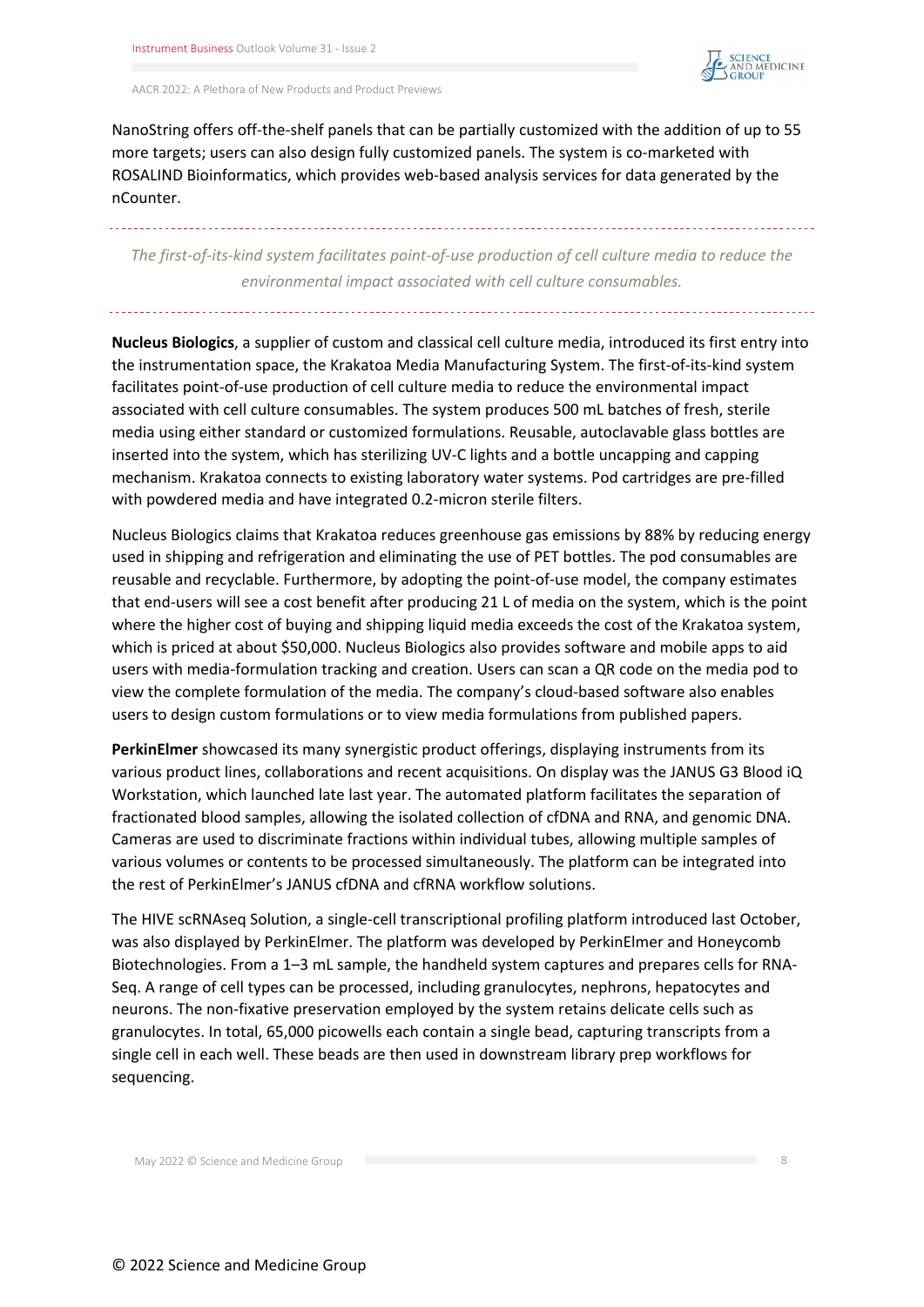

NanoString offers off-the-shelf panels that can be partially customized with the addition of up to 55 more targets; users can also design fully customized panels. The system is co-marketed with ROSALIND Bioinformatics, which provides web-based analysis services for data generated by the nCounter.

*The first-of-its-kind system facilitates point-of-use production of cell culture media to reduce the environmental impact associated with cell culture consumables.*

**Nucleus Biologics**, a supplier of custom and classical cell culture media, introduced its first entry into the instrumentation space, the Krakatoa Media Manufacturing System. The first-of-its-kind system facilitates point-of-use production of cell culture media to reduce the environmental impact associated with cell culture consumables. The system produces 500 mL batches of fresh, sterile media using either standard or customized formulations. Reusable, autoclavable glass bottles are inserted into the system, which has sterilizing UV-C lights and a bottle uncapping and capping mechanism. Krakatoa connects to existing laboratory water systems. Pod cartridges are pre-filled with powdered media and have integrated 0.2-micron sterile filters.

Nucleus Biologics claims that Krakatoa reduces greenhouse gas emissions by 88% by reducing energy used in shipping and refrigeration and eliminating the use of PET bottles. The pod consumables are reusable and recyclable. Furthermore, by adopting the point-of-use model, the company estimates that end-users will see a cost benefit after producing 21 L of media on the system, which is the point where the higher cost of buying and shipping liquid media exceeds the cost of the Krakatoa system, which is priced at about \$50,000. Nucleus Biologics also provides software and mobile apps to aid users with media-formulation tracking and creation. Users can scan a QR code on the media pod to view the complete formulation of the media. The company's cloud-based software also enables users to design custom formulations or to view media formulations from published papers.

**PerkinElmer** showcased its many synergistic product offerings, displaying instruments from its various product lines, collaborations and recent acquisitions. On display was the JANUS G3 Blood iQ Workstation, which launched late last year. The automated platform facilitates the separation of fractionated blood samples, allowing the isolated collection of cfDNA and RNA, and genomic DNA. Cameras are used to discriminate fractions within individual tubes, allowing multiple samples of various volumes or contents to be processed simultaneously. The platform can be integrated into the rest of PerkinElmer's JANUS cfDNA and cfRNA workflow solutions.

The HIVE scRNAseq Solution, a single-cell transcriptional profiling platform introduced last October, was also displayed by PerkinElmer. The platform was developed by PerkinElmer and Honeycomb Biotechnologies. From a 1–3 mL sample, the handheld system captures and prepares cells for RNA-Seq. A range of cell types can be processed, including granulocytes, nephrons, hepatocytes and neurons. The non-fixative preservation employed by the system retains delicate cells such as granulocytes. In total, 65,000 picowells each contain a single bead, capturing transcripts from a single cell in each well. These beads are then used in downstream library prep workflows for sequencing.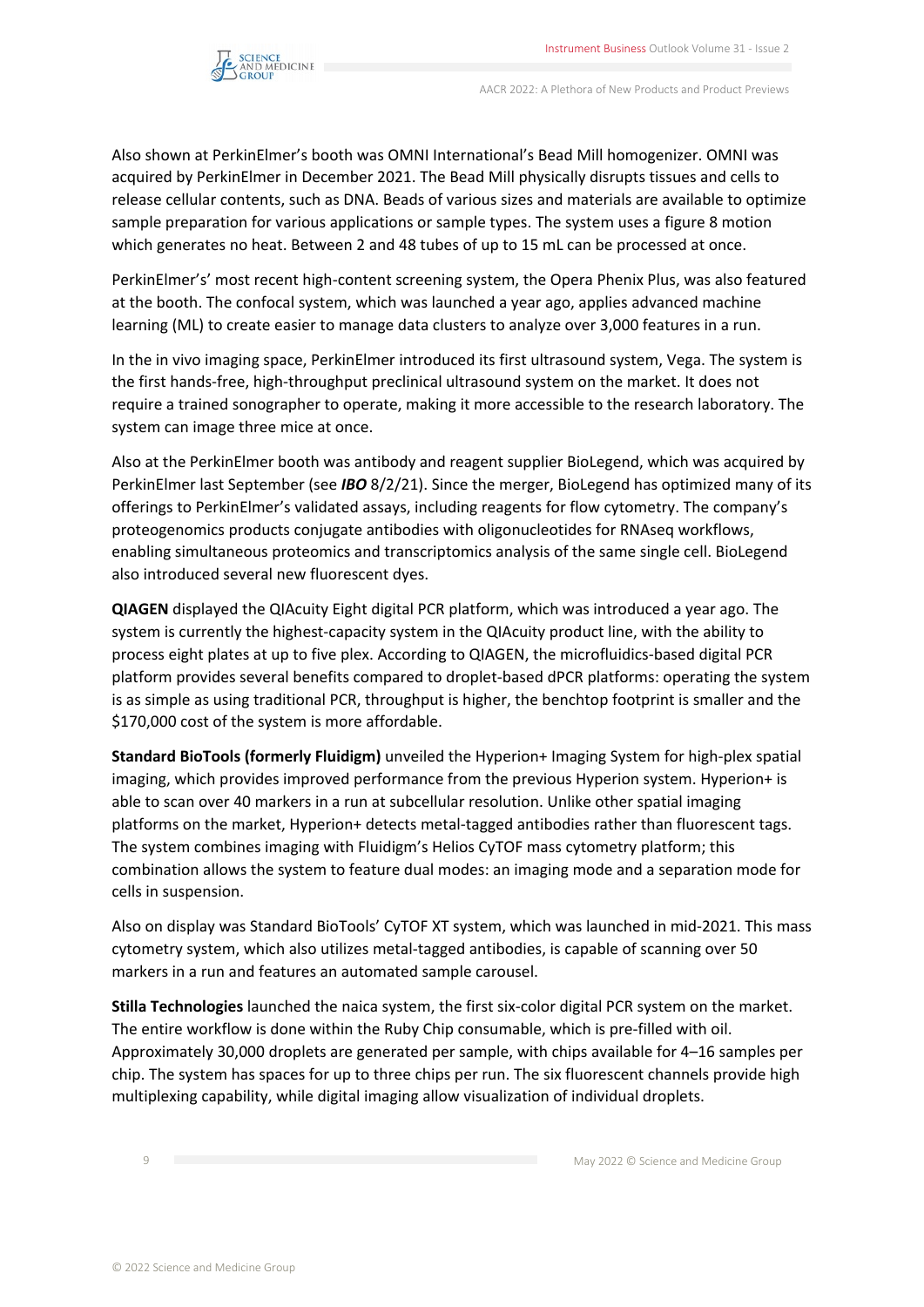

Also shown at PerkinElmer's booth was OMNI International's Bead Mill homogenizer. OMNI was acquired by PerkinElmer in December 2021. The Bead Mill physically disrupts tissues and cells to release cellular contents, such as DNA. Beads of various sizes and materials are available to optimize sample preparation for various applications or sample types. The system uses a figure 8 motion which generates no heat. Between 2 and 48 tubes of up to 15 mL can be processed at once.

PerkinElmer's' most recent high-content screening system, the Opera Phenix Plus, was also featured at the booth. The confocal system, which was launched a year ago, applies advanced machine learning (ML) to create easier to manage data clusters to analyze over 3,000 features in a run.

In the in vivo imaging space, PerkinElmer introduced its first ultrasound system, Vega. The system is the first hands-free, high-throughput preclinical ultrasound system on the market. It does not require a trained sonographer to operate, making it more accessible to the research laboratory. The system can image three mice at once.

Also at the PerkinElmer booth was antibody and reagent supplier BioLegend, which was acquired by PerkinElmer last September (see *IBO* 8/2/21). Since the merger, BioLegend has optimized many of its offerings to PerkinElmer's validated assays, including reagents for flow cytometry. The company's proteogenomics products conjugate antibodies with oligonucleotides for RNAseq workflows, enabling simultaneous proteomics and transcriptomics analysis of the same single cell. BioLegend also introduced several new fluorescent dyes.

**QIAGEN** displayed the QIAcuity Eight digital PCR platform, which was introduced a year ago. The system is currently the highest-capacity system in the QIAcuity product line, with the ability to process eight plates at up to five plex. According to QIAGEN, the microfluidics-based digital PCR platform provides several benefits compared to droplet-based dPCR platforms: operating the system is as simple as using traditional PCR, throughput is higher, the benchtop footprint is smaller and the \$170,000 cost of the system is more affordable.

**Standard BioTools (formerly Fluidigm)** unveiled the Hyperion+ Imaging System for high-plex spatial imaging, which provides improved performance from the previous Hyperion system. Hyperion+ is able to scan over 40 markers in a run at subcellular resolution. Unlike other spatial imaging platforms on the market, Hyperion+ detects metal-tagged antibodies rather than fluorescent tags. The system combines imaging with Fluidigm's Helios CyTOF mass cytometry platform; this combination allows the system to feature dual modes: an imaging mode and a separation mode for cells in suspension.

Also on display was Standard BioTools' CyTOF XT system, which was launched in mid-2021. This mass cytometry system, which also utilizes metal-tagged antibodies, is capable of scanning over 50 markers in a run and features an automated sample carousel.

**Stilla Technologies** launched the naica system, the first six-color digital PCR system on the market. The entire workflow is done within the Ruby Chip consumable, which is pre-filled with oil. Approximately 30,000 droplets are generated per sample, with chips available for 4–16 samples per chip. The system has spaces for up to three chips per run. The six fluorescent channels provide high multiplexing capability, while digital imaging allow visualization of individual droplets.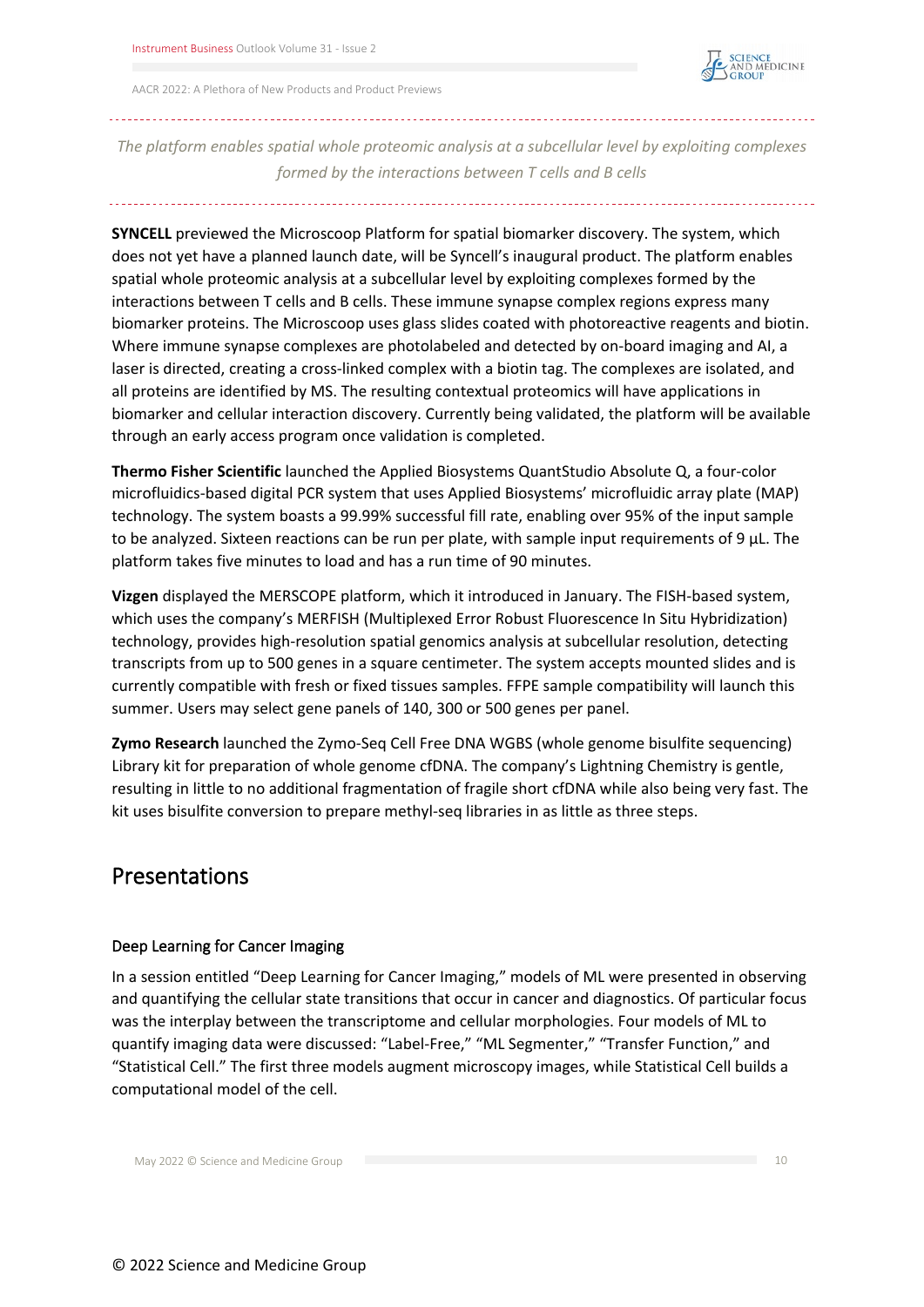

*The platform enables spatial whole proteomic analysis at a subcellular level by exploiting complexes formed by the interactions between T cells and B cells*

**SYNCELL** previewed the Microscoop Platform for spatial biomarker discovery. The system, which does not yet have a planned launch date, will be Syncell's inaugural product. The platform enables spatial whole proteomic analysis at a subcellular level by exploiting complexes formed by the interactions between T cells and B cells. These immune synapse complex regions express many biomarker proteins. The Microscoop uses glass slides coated with photoreactive reagents and biotin. Where immune synapse complexes are photolabeled and detected by on-board imaging and AI, a laser is directed, creating a cross-linked complex with a biotin tag. The complexes are isolated, and all proteins are identified by MS. The resulting contextual proteomics will have applications in biomarker and cellular interaction discovery. Currently being validated, the platform will be available through an early access program once validation is completed.

**Thermo Fisher Scientific** launched the Applied Biosystems QuantStudio Absolute Q, a four-color microfluidics-based digital PCR system that uses Applied Biosystems' microfluidic array plate (MAP) technology. The system boasts a 99.99% successful fill rate, enabling over 95% of the input sample to be analyzed. Sixteen reactions can be run per plate, with sample input requirements of 9 µL. The platform takes five minutes to load and has a run time of 90 minutes.

**Vizgen** displayed the MERSCOPE platform, which it introduced in January. The FISH-based system, which uses the company's MERFISH (Multiplexed Error Robust Fluorescence In Situ Hybridization) technology, provides high-resolution spatial genomics analysis at subcellular resolution, detecting transcripts from up to 500 genes in a square centimeter. The system accepts mounted slides and is currently compatible with fresh or fixed tissues samples. FFPE sample compatibility will launch this summer. Users may select gene panels of 140, 300 or 500 genes per panel.

**Zymo Research** launched the Zymo-Seq Cell Free DNA WGBS (whole genome bisulfite sequencing) Library kit for preparation of whole genome cfDNA. The company's Lightning Chemistry is gentle, resulting in little to no additional fragmentation of fragile short cfDNA while also being very fast. The kit uses bisulfite conversion to prepare methyl-seq libraries in as little as three steps.

## **Presentations**

#### **Deep Learning for Cancer Imaging**

In a session entitled "Deep Learning for Cancer Imaging," models of ML were presented in observing and quantifying the cellular state transitions that occur in cancer and diagnostics. Of particular focus was the interplay between the transcriptome and cellular morphologies. Four models of ML to quantify imaging data were discussed: "Label-Free," "ML Segmenter," "Transfer Function," and "Statistical Cell." The first three models augment microscopy images, while Statistical Cell builds a computational model of the cell.

May 2022 © Science and Medicine Group 10 and 10 and 2022 © Science and Medicine Group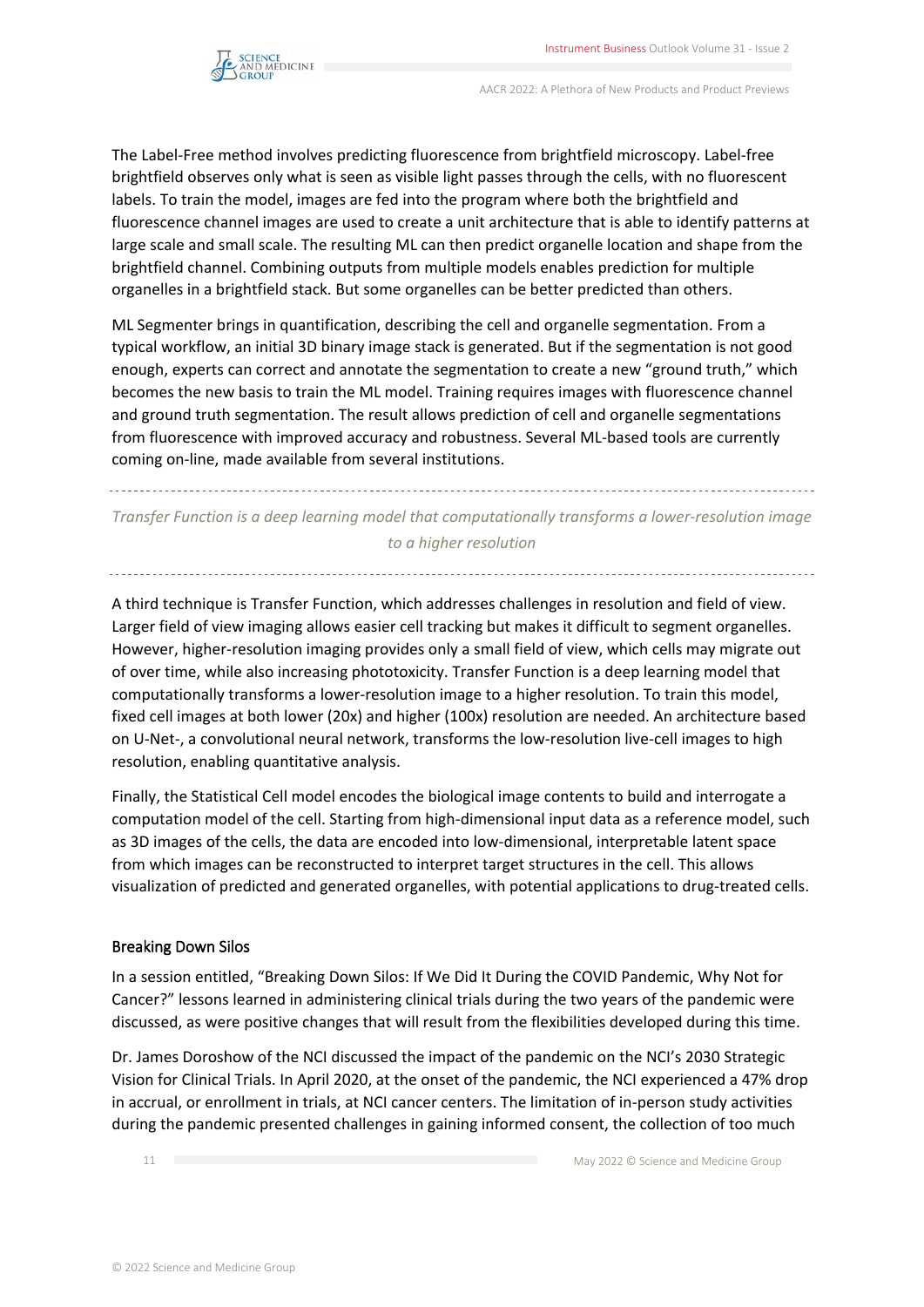

The Label-Free method involves predicting fluorescence from brightfield microscopy. Label-free brightfield observes only what is seen as visible light passes through the cells, with no fluorescent labels. To train the model, images are fed into the program where both the brightfield and fluorescence channel images are used to create a unit architecture that is able to identify patterns at large scale and small scale. The resulting ML can then predict organelle location and shape from the brightfield channel. Combining outputs from multiple models enables prediction for multiple organelles in a brightfield stack. But some organelles can be better predicted than others.

ML Segmenter brings in quantification, describing the cell and organelle segmentation. From a typical workflow, an initial 3D binary image stack is generated. But if the segmentation is not good enough, experts can correct and annotate the segmentation to create a new "ground truth," which becomes the new basis to train the ML model. Training requires images with fluorescence channel and ground truth segmentation. The result allows prediction of cell and organelle segmentations from fluorescence with improved accuracy and robustness. Several ML-based tools are currently coming on-line, made available from several institutions.

### *Transfer Function is a deep learning model that computationally transforms a lower-resolution image to a higher resolution*

A third technique is Transfer Function, which addresses challenges in resolution and field of view. Larger field of view imaging allows easier cell tracking but makes it difficult to segment organelles. However, higher-resolution imaging provides only a small field of view, which cells may migrate out of over time, while also increasing phototoxicity. Transfer Function is a deep learning model that computationally transforms a lower-resolution image to a higher resolution. To train this model, fixed cell images at both lower (20x) and higher (100x) resolution are needed. An architecture based on U-Net-, a convolutional neural network, transforms the low-resolution live-cell images to high resolution, enabling quantitative analysis.

Finally, the Statistical Cell model encodes the biological image contents to build and interrogate a computation model of the cell. Starting from high-dimensional input data as a reference model, such as 3D images of the cells, the data are encoded into low-dimensional, interpretable latent space from which images can be reconstructed to interpret target structures in the cell. This allows visualization of predicted and generated organelles, with potential applications to drug-treated cells.

#### **Breaking Down Silos**

In a session entitled, "Breaking Down Silos: If We Did It During the COVID Pandemic, Why Not for Cancer?" lessons learned in administering clinical trials during the two years of the pandemic were discussed, as were positive changes that will result from the flexibilities developed during this time.

Dr. James Doroshow of the NCI discussed the impact of the pandemic on the NCI's 2030 Strategic Vision for Clinical Trials. In April 2020, at the onset of the pandemic, the NCI experienced a 47% drop in accrual, or enrollment in trials, at NCI cancer centers. The limitation of in-person study activities during the pandemic presented challenges in gaining informed consent, the collection of too much